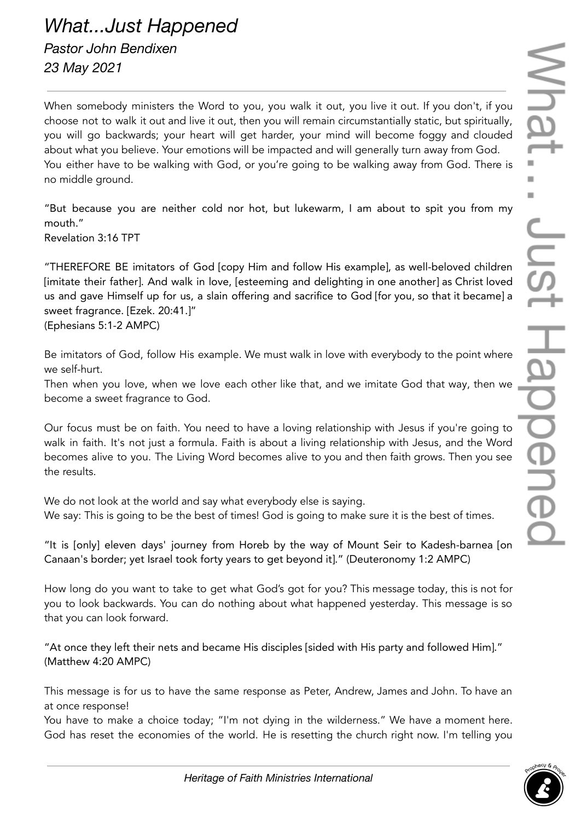*What...Just Happened Pastor John Bendixen 23 May 2021*

When somebody ministers the Word to you, you walk it out, you live it out. If you don't, if you choose not to walk it out and live it out, then you will remain circumstantially static, but spiritually, you will go backwards; your heart will get harder, your mind will become foggy and clouded about what you believe. Your emotions will be impacted and will generally turn away from God. You either have to be walking with God, or you're going to be walking away from God. There is no middle ground.

"But because you are neither cold nor hot, but lukewarm, I am about to spit you from my mouth."

Revelation 3:16 TPT

"THEREFORE BE imitators of God [copy Him and follow His example], as well-beloved children [imitate their father]. And walk in love, [esteeming and delighting in one another] as Christ loved us and gave Himself up for us, a slain offering and sacrifice to God [for you, so that it became] a sweet fragrance. [Ezek. 20:41.]" (Ephesians 5:1-2 AMPC)

Be imitators of God, follow His example. We must walk in love with everybody to the point where we self-hurt.

Then when you love, when we love each other like that, and we imitate God that way, then we become a sweet fragrance to God.

Our focus must be on faith. You need to have a loving relationship with Jesus if you're going to walk in faith. It's not just a formula. Faith is about a living relationship with Jesus, and the Word becomes alive to you. The Living Word becomes alive to you and then faith grows. Then you see the results.

We do not look at the world and say what everybody else is saying. We say: This is going to be the best of times! God is going to make sure it is the best of times.

"It is [only] eleven days' journey from Horeb by the way of Mount Seir to Kadesh-barnea [on Canaan's border; yet Israel took forty years to get beyond it]." (Deuteronomy 1:2 AMPC)

How long do you want to take to get what God's got for you? This message today, this is not for you to look backwards. You can do nothing about what happened yesterday. This message is so that you can look forward.

"At once they left their nets and became His disciples [sided with His party and followed Him]." (Matthew 4:20 AMPC)

This message is for us to have the same response as Peter, Andrew, James and John. To have an at once response!

You have to make a choice today; "I'm not dying in the wilderness." We have a moment here. God has reset the economies of the world. He is resetting the church right now. I'm telling you